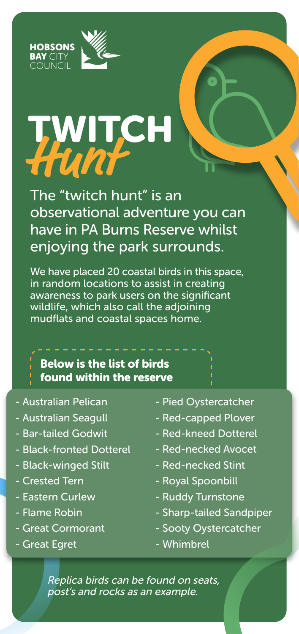



## TWITCH **Hunt**

The "twitch hunt" is an observational adventure you can have in PA Burns Reserve whilst enjoying the park surrounds.

We have placed 20 coastal birds in this space, in random locations to assist in creating awareness to park users on the significant wildlife, which also call the adjoining mudflats and coastal spaces home.

## Below is the list of birds

- 
- found within the reserve
- Australian Pelican
- Australian Seagull
- Bar-tailed Godwit
- Black-fronted Dotterel
- Black-winged Stilt
- Crested Tern
- Eastern Curlew
- Flame Robin
- Great Cormorant
- Great Egret
- Pied Oystercatcher
- Red-capped Plover
- Red-kneed Dotterel
- Red-necked Avocet
- Red-necked Stint
- Royal Spoonbill
- Ruddy Turnstone
- Sharp-tailed Sandpiper
- Sooty Oystercatcher
- Whimbrel

Replica birds can be found on seats, post's and rocks as an example.